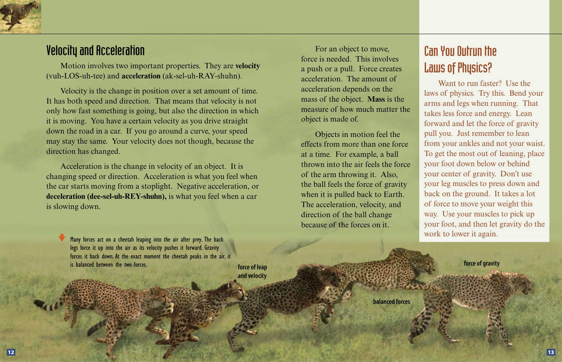#### Velocity and Acceleration

Motion involves two important properties. They are **velocity** (vuh-LOS-uh-tee) and **acceleration** (ak-sel-uh-RAY-shuhn).

Velocity is the change in position over a set amount of time. It has both speed and direction. That means that velocity is not only how fast something is going, but also the direction in which it is moving. You have a certain velocity as you drive straight down the road in a car. If you go around a curve, your speed may stay the same. Your velocity does not though, because the direction has changed.

Acceleration is the change in velocity of an object. It is changing speed or direction. Acceleration is what you feel when the car starts moving from a stoplight. Negative acceleration, or **deceleration (dee-sel-uh-REY-shuhn),** is what you feel when a car is slowing down.

Many forces act on a cheetah leaping into the air after prey. The back legs force it up into the air as its velocity pushes it forward. Gravity forces it back down. At the exact moment the cheetah peaks in the air, it is balanced between the two forces. **force of gravity**

**force of leap and velocity**

For an object to move, force is needed. This involves a push or a pull. Force creates acceleration. The amount of acceleration depends on the mass of the object. **Mass** is the measure of how much matter the object is made of.

Objects in motion feel the effects from more than one force at a time. For example, a ball thrown into the air feels the force of the arm throwing it. Also, the ball feels the force of gravity when it is pulled back to Earth. The acceleration, velocity, and direction of the ball change because of the forces on it.

# Can You Outrun the Laws of Physics?

Want to run faster? Use the laws of physics. Try this. Bend your arms and legs when running. That takes less force and energy. Lean forward and let the force of gravity pull you. Just remember to lean from your ankles and not your waist. To get the most out of leaning, place your foot down below or behind your center of gravity. Don't use your leg muscles to press down and back on the ground. It takes a lot of force to move your weight this way. Use your muscles to pick up your foot, and then let gravity do the work to lower it again.

**balanced forces**